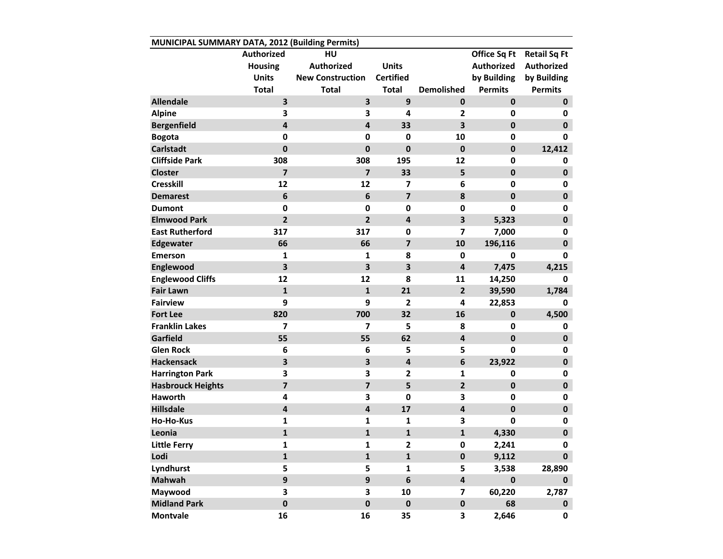| MUNICIPAL SUMMARY DATA, 2012 (Building Permits) |                         |                         |                         |                         |                   |                     |  |  |  |  |  |
|-------------------------------------------------|-------------------------|-------------------------|-------------------------|-------------------------|-------------------|---------------------|--|--|--|--|--|
|                                                 | Authorized              | HU                      |                         |                         | Office Sq Ft      | <b>Retail Sq Ft</b> |  |  |  |  |  |
|                                                 | <b>Housing</b>          | <b>Authorized</b>       | <b>Units</b>            |                         | <b>Authorized</b> | <b>Authorized</b>   |  |  |  |  |  |
|                                                 | <b>Units</b>            | <b>New Construction</b> | <b>Certified</b>        |                         | by Building       | by Building         |  |  |  |  |  |
|                                                 | <b>Total</b>            | <b>Total</b>            | <b>Total</b>            | <b>Demolished</b>       | <b>Permits</b>    | <b>Permits</b>      |  |  |  |  |  |
| <b>Allendale</b>                                | 3                       | 3                       | 9                       | $\mathbf{0}$            | $\mathbf 0$       | $\mathbf 0$         |  |  |  |  |  |
| <b>Alpine</b>                                   | 3                       | 3                       | 4                       | $\mathbf{2}$            | 0                 | 0                   |  |  |  |  |  |
| <b>Bergenfield</b>                              | $\overline{\mathbf{4}}$ | $\overline{\mathbf{4}}$ | 33                      | 3                       | $\pmb{0}$         | $\mathbf 0$         |  |  |  |  |  |
| <b>Bogota</b>                                   | $\mathbf 0$             | $\mathbf 0$             | $\mathbf 0$             | 10                      | 0                 | 0                   |  |  |  |  |  |
| <b>Carlstadt</b>                                | $\mathbf 0$             | $\mathbf 0$             | $\mathbf 0$             | $\mathbf{0}$            | $\mathbf 0$       | 12,412              |  |  |  |  |  |
| <b>Cliffside Park</b>                           | 308                     | 308                     | 195                     | 12                      | 0                 | 0                   |  |  |  |  |  |
| <b>Closter</b>                                  | $\overline{\mathbf{z}}$ | $\overline{\mathbf{z}}$ | 33                      | 5                       | $\mathbf 0$       | $\pmb{0}$           |  |  |  |  |  |
| <b>Cresskill</b>                                | 12                      | 12                      | 7                       | 6                       | 0                 | 0                   |  |  |  |  |  |
| <b>Demarest</b>                                 | 6                       | $\bf 6$                 | $\overline{\mathbf{z}}$ | 8                       | $\mathbf 0$       | 0                   |  |  |  |  |  |
| <b>Dumont</b>                                   | $\mathbf 0$             | $\mathbf 0$             | 0                       | $\mathbf 0$             | 0                 | 0                   |  |  |  |  |  |
| <b>Elmwood Park</b>                             | $\overline{2}$          | $\overline{2}$          | $\overline{\mathbf{4}}$ | 3                       | 5,323             | $\mathbf 0$         |  |  |  |  |  |
| <b>East Rutherford</b>                          | 317                     | 317                     | 0                       | $\overline{\mathbf{z}}$ | 7,000             | 0                   |  |  |  |  |  |
| <b>Edgewater</b>                                | 66                      | 66                      | $\overline{\mathbf{z}}$ | 10                      | 196,116           | $\pmb{0}$           |  |  |  |  |  |
| <b>Emerson</b>                                  | 1                       | 1                       | 8                       | 0                       | 0                 | 0                   |  |  |  |  |  |
| Englewood                                       | 3                       | $\overline{\mathbf{3}}$ | $\overline{\mathbf{3}}$ | 4                       | 7,475             | 4,215               |  |  |  |  |  |
| <b>Englewood Cliffs</b>                         | 12                      | 12                      | 8                       | 11                      | 14,250            | 0                   |  |  |  |  |  |
| <b>Fair Lawn</b>                                | $\mathbf{1}$            | $\mathbf{1}$            | 21                      | $\overline{2}$          | 39,590            | 1,784               |  |  |  |  |  |
| <b>Fairview</b>                                 | 9                       | 9                       | $\mathbf{2}$            | 4                       | 22,853            | 0                   |  |  |  |  |  |
| <b>Fort Lee</b>                                 | 820                     | 700                     | 32                      | 16                      | $\pmb{0}$         | 4,500               |  |  |  |  |  |
| <b>Franklin Lakes</b>                           | 7                       | 7                       | 5                       | 8                       | 0                 | 0                   |  |  |  |  |  |
| Garfield                                        | 55                      | 55                      | 62                      | 4                       | $\mathbf 0$       | $\pmb{0}$           |  |  |  |  |  |
| <b>Glen Rock</b>                                | 6                       | 6                       | 5                       | 5                       | 0                 | 0                   |  |  |  |  |  |
| <b>Hackensack</b>                               | 3                       | 3                       | 4                       | 6                       | 23,922            | $\pmb{0}$           |  |  |  |  |  |
| <b>Harrington Park</b>                          | 3                       | 3                       | $\mathbf{2}$            | 1                       | 0                 | 0                   |  |  |  |  |  |
| <b>Hasbrouck Heights</b>                        | $\overline{\mathbf{z}}$ | $\overline{\mathbf{z}}$ | 5                       | $\overline{2}$          | $\pmb{0}$         | 0                   |  |  |  |  |  |
| <b>Haworth</b>                                  | 4                       | 3                       | 0                       | 3                       | 0                 | 0                   |  |  |  |  |  |
| <b>Hillsdale</b>                                | $\pmb{4}$               | $\overline{\mathbf{4}}$ | 17                      | 4                       | $\mathbf 0$       | $\mathbf 0$         |  |  |  |  |  |
| Ho-Ho-Kus                                       | 1                       | 1                       | 1                       | 3                       | 0                 | 0                   |  |  |  |  |  |
| Leonia                                          | $\mathbf{1}$            | $\mathbf{1}$            | $\mathbf{1}$            | 1                       | 4,330             | $\pmb{0}$           |  |  |  |  |  |
| <b>Little Ferry</b>                             | 1                       | 1                       | $\overline{\mathbf{c}}$ | 0                       | 2,241             | 0                   |  |  |  |  |  |
| Lodi                                            | $\mathbf{1}$            | $\mathbf 1$             | $\mathbf{1}$            | 0                       | 9,112             | $\mathbf 0$         |  |  |  |  |  |
| Lyndhurst                                       | 5                       | 5                       | $\mathbf{1}$            | 5                       | 3,538             | 28,890              |  |  |  |  |  |
| <b>Mahwah</b>                                   | 9                       | $\mathbf{9}$            | 6                       | 4                       | $\pmb{0}$         | $\mathbf 0$         |  |  |  |  |  |
| Maywood                                         | 3                       | 3                       | 10                      | 7                       | 60,220            | 2,787               |  |  |  |  |  |
| <b>Midland Park</b>                             | $\pmb{0}$               | $\pmb{0}$               | $\pmb{0}$               | $\pmb{0}$               | 68                | $\mathbf 0$         |  |  |  |  |  |
| <b>Montvale</b>                                 | 16                      | 16                      | 35                      | 3                       | 2,646             | 0                   |  |  |  |  |  |